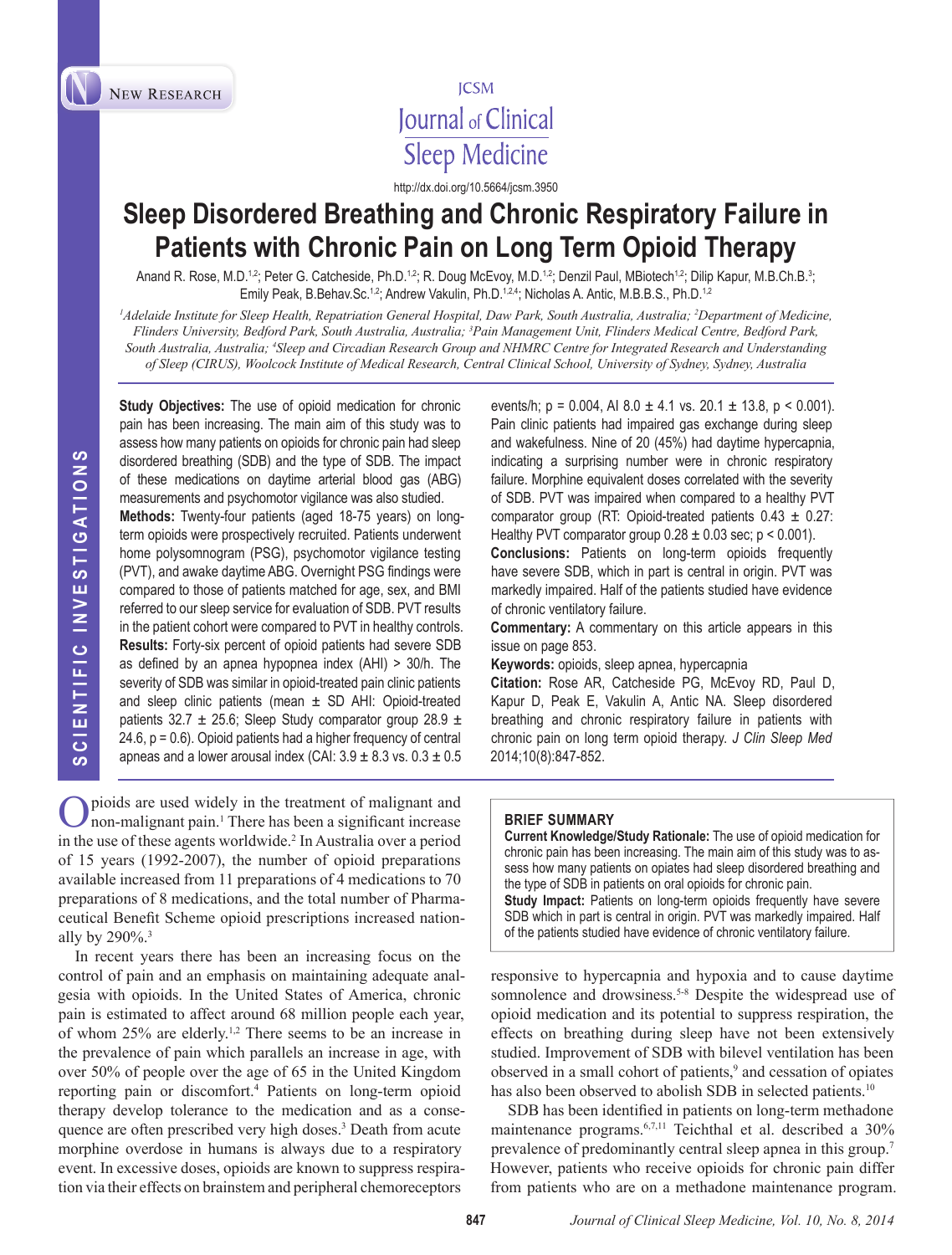**NEW RESEARCH** 

**ICSM** Journal of Clinical **Sleep Medicine** 

http://dx.doi.org/10.5664/jcsm.3950

# **Sleep Disordered Breathing and Chronic Respiratory Failure in Patients with Chronic Pain on Long Term Opioid Therapy**

Anand R. Rose, M.D.<sup>12</sup>; Peter G. Catcheside, Ph.D.<sup>1,2</sup>; R. Doug McEvoy, M.D.<sup>1,2</sup>; Denzil Paul, MBiotech<sup>1,2</sup>; Dilip Kapur, M.B.Ch.B.<sup>3</sup>; Emily Peak, B.Behav.Sc.<sup>1,2</sup>; Andrew Vakulin, Ph.D.<sup>1,2,4</sup>; Nicholas A. Antic, M.B.B.S., Ph.D.<sup>1,2</sup>

*1 Adelaide Institute for Sleep Health, Repatriation General Hospital, Daw Park, South Australia, Australia; 2 Department of Medicine, Flinders University, Bedford Park, South Australia, Australia; 3 Pain Management Unit, Flinders Medical Centre, Bedford Park, South Australia, Australia; 4 Sleep and Circadian Research Group and NHMRC Centre for Integrated Research and Understanding of Sleep (CIRUS), Woolcock Institute of Medical Research, Central Clinical School, University of Sydney, Sydney, Australia*

**Study Objectives:** The use of opioid medication for chronic pain has been increasing. The main aim of this study was to assess how many patients on opioids for chronic pain had sleep disordered breathing (SDB) and the type of SDB. The impact of these medications on daytime arterial blood gas (ABG) measurements and psychomotor vigilance was also studied. **Methods:** Twenty-four patients (aged 18-75 years) on long-

term opioids were prospectively recruited. Patients underwent home polysomnogram (PSG), psychomotor vigilance testing (PVT), and awake daytime ABG. Overnight PSG findings were compared to those of patients matched for age, sex, and BMI referred to our sleep service for evaluation of SDB. PVT results in the patient cohort were compared to PVT in healthy controls. **Results:** Forty-six percent of opioid patients had severe SDB as defined by an apnea hypopnea index  $(AHI) > 30/h$ . The severity of SDB was similar in opioid-treated pain clinic patients and sleep clinic patients (mean  $\pm$  SD AHI: Opioid-treated patients 32.7  $\pm$  25.6; Sleep Study comparator group 28.9  $\pm$ 24.6, p = 0.6). Opioid patients had a higher frequency of central apneas and a lower arousal index (CAI:  $3.9 \pm 8.3$  vs.  $0.3 \pm 0.5$ 

Opioids are used widely in the treatment of malignant and non-malignant pain.<sup>1</sup> There has been a significant increase in the use of these agents worldwide.<sup>2</sup> In Australia over a period of 15 years (1992-2007), the number of opioid preparations available increased from 11 preparations of 4 medications to 70 preparations of 8 medications, and the total number of Pharmaceutical Benefit Scheme opioid prescriptions increased nationally by 290%.3

In recent years there has been an increasing focus on the control of pain and an emphasis on maintaining adequate analgesia with opioids. In the United States of America, chronic pain is estimated to affect around 68 million people each year, of whom 25% are elderly.1,2 There seems to be an increase in the prevalence of pain which parallels an increase in age, with over 50% of people over the age of 65 in the United Kingdom reporting pain or discomfort.4 Patients on long-term opioid therapy develop tolerance to the medication and as a consequence are often prescribed very high doses.<sup>3</sup> Death from acute morphine overdose in humans is always due to a respiratory event. In excessive doses, opioids are known to suppress respiration via their effects on brainstem and peripheral chemoreceptors

events/h;  $p = 0.004$ , Al  $8.0 \pm 4.1$  vs.  $20.1 \pm 13.8$ ,  $p < 0.001$ ). Pain clinic patients had impaired gas exchange during sleep and wakefulness. Nine of 20 (45%) had daytime hypercapnia, indicating a surprising number were in chronic respiratory failure. Morphine equivalent doses correlated with the severity of SDB. PVT was impaired when compared to a healthy PVT comparator group (RT: Opioid-treated patients  $0.43 \pm 0.27$ : Healthy PVT comparator group  $0.28 \pm 0.03$  sec; p < 0.001).

**Conclusions:** Patients on long-term opioids frequently have severe SDB, which in part is central in origin. PVT was markedly impaired. Half of the patients studied have evidence of chronic ventilatory failure.

**Commentary:** A commentary on this article appears in this issue on page 853.

**Keywords:** opioids, sleep apnea, hypercapnia

**Citation:** Rose AR, Catcheside PG, McEvoy RD, Paul D, Kapur D, Peak E, Vakulin A, Antic NA. Sleep disordered breathing and chronic respiratory failure in patients with chronic pain on long term opioid therapy. *J Clin Sleep Med* 2014;10(8):847-852.

#### **BRIEF SUMMARY**

**Current Knowledge/Study Rationale:** The use of opioid medication for chronic pain has been increasing. The main aim of this study was to assess how many patients on opiates had sleep disordered breathing and the type of SDB in patients on oral opioids for chronic pain. **Study Impact:** Patients on long-term opioids frequently have severe SDB which in part is central in origin. PVT was markedly impaired. Half of the patients studied have evidence of chronic ventilatory failure.

responsive to hypercapnia and hypoxia and to cause daytime somnolence and drowsiness.<sup>5-8</sup> Despite the widespread use of opioid medication and its potential to suppress respiration, the effects on breathing during sleep have not been extensively studied. Improvement of SDB with bilevel ventilation has been observed in a small cohort of patients,<sup>9</sup> and cessation of opiates has also been observed to abolish SDB in selected patients.<sup>10</sup>

SDB has been identified in patients on long-term methadone maintenance programs.6,7,11 Teichthal et al. described a 30% prevalence of predominantly central sleep apnea in this group.<sup>7</sup> However, patients who receive opioids for chronic pain differ from patients who are on a methadone maintenance program.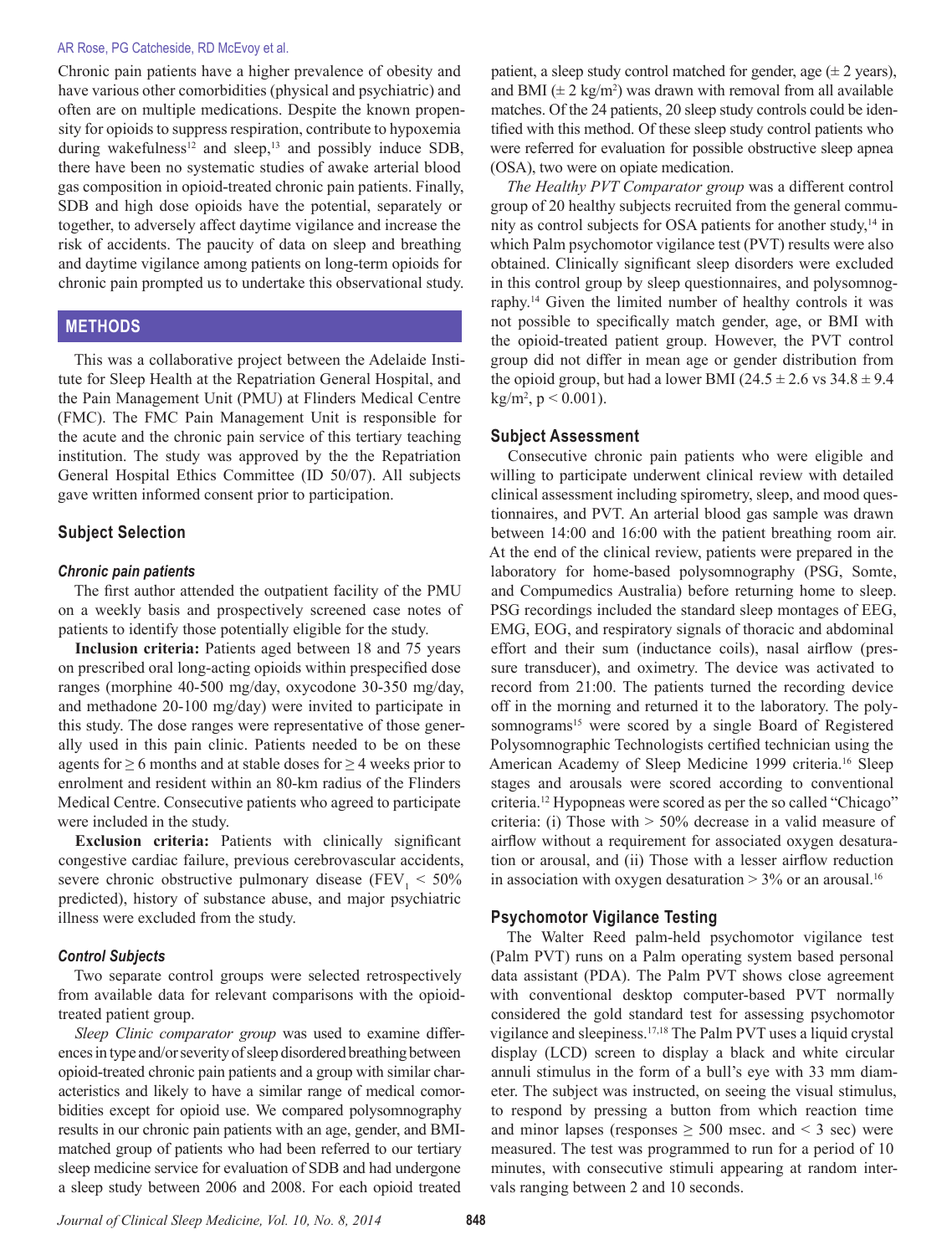#### AR Rose, PG Catcheside, RD McEvoy et al.

Chronic pain patients have a higher prevalence of obesity and have various other comorbidities (physical and psychiatric) and often are on multiple medications. Despite the known propensity for opioids to suppress respiration, contribute to hypoxemia during wakefulness<sup>12</sup> and sleep,<sup>13</sup> and possibly induce SDB, there have been no systematic studies of awake arterial blood gas composition in opioid-treated chronic pain patients. Finally, SDB and high dose opioids have the potential, separately or together, to adversely affect daytime vigilance and increase the risk of accidents. The paucity of data on sleep and breathing and daytime vigilance among patients on long-term opioids for chronic pain prompted us to undertake this observational study.

## **METHODS**

This was a collaborative project between the Adelaide Institute for Sleep Health at the Repatriation General Hospital, and the Pain Management Unit (PMU) at Flinders Medical Centre (FMC). The FMC Pain Management Unit is responsible for the acute and the chronic pain service of this tertiary teaching institution. The study was approved by the the Repatriation General Hospital Ethics Committee (ID 50/07). All subjects gave written informed consent prior to participation.

#### **Subject Selection**

#### *Chronic pain patients*

The first author attended the outpatient facility of the PMU on a weekly basis and prospectively screened case notes of patients to identify those potentially eligible for the study.

**Inclusion criteria:** Patients aged between 18 and 75 years on prescribed oral long-acting opioids within prespecified dose ranges (morphine 40-500 mg/day, oxycodone 30-350 mg/day, and methadone 20-100 mg/day) were invited to participate in this study. The dose ranges were representative of those generally used in this pain clinic. Patients needed to be on these agents for  $\geq 6$  months and at stable doses for  $\geq 4$  weeks prior to enrolment and resident within an 80-km radius of the Flinders Medical Centre. Consecutive patients who agreed to participate were included in the study.

**Exclusion criteria:** Patients with clinically significant congestive cardiac failure, previous cerebrovascular accidents, severe chronic obstructive pulmonary disease ( $FEV<sub>1</sub> < 50\%$ predicted), history of substance abuse, and major psychiatric illness were excluded from the study.

#### *Control Subjects*

Two separate control groups were selected retrospectively from available data for relevant comparisons with the opioidtreated patient group.

*Sleep Clinic comparator group* was used to examine differences in type and/or severity of sleep disordered breathing between opioid-treated chronic pain patients and a group with similar characteristics and likely to have a similar range of medical comorbidities except for opioid use. We compared polysomnography results in our chronic pain patients with an age, gender, and BMImatched group of patients who had been referred to our tertiary sleep medicine service for evaluation of SDB and had undergone a sleep study between 2006 and 2008. For each opioid treated

patient, a sleep study control matched for gender, age  $(\pm 2 \text{ years})$ , and BMI  $(\pm 2 \text{ kg/m}^2)$  was drawn with removal from all available matches. Of the 24 patients, 20 sleep study controls could be identified with this method. Of these sleep study control patients who were referred for evaluation for possible obstructive sleep apnea (OSA), two were on opiate medication.

*The Healthy PVT Comparator group* was a different control group of 20 healthy subjects recruited from the general community as control subjects for OSA patients for another study,<sup>14</sup> in which Palm psychomotor vigilance test (PVT) results were also obtained. Clinically significant sleep disorders were excluded in this control group by sleep questionnaires, and polysomnography.14 Given the limited number of healthy controls it was not possible to specifically match gender, age, or BMI with the opioid-treated patient group. However, the PVT control group did not differ in mean age or gender distribution from the opioid group, but had a lower BMI ( $24.5 \pm 2.6$  vs  $34.8 \pm 9.4$ )  $kg/m^2$ ,  $p < 0.001$ ).

#### **Subject Assessment**

Consecutive chronic pain patients who were eligible and willing to participate underwent clinical review with detailed clinical assessment including spirometry, sleep, and mood questionnaires, and PVT. An arterial blood gas sample was drawn between 14:00 and 16:00 with the patient breathing room air. At the end of the clinical review, patients were prepared in the laboratory for home-based polysomnography (PSG, Somte, and Compumedics Australia) before returning home to sleep. PSG recordings included the standard sleep montages of EEG, EMG, EOG, and respiratory signals of thoracic and abdominal effort and their sum (inductance coils), nasal airflow (pressure transducer), and oximetry. The device was activated to record from 21:00. The patients turned the recording device off in the morning and returned it to the laboratory. The polysomnograms<sup>15</sup> were scored by a single Board of Registered Polysomnographic Technologists certified technician using the American Academy of Sleep Medicine 1999 criteria.<sup>16</sup> Sleep stages and arousals were scored according to conventional criteria.<sup>12</sup> Hypopneas were scored as per the so called "Chicago" criteria: (i) Those with  $> 50\%$  decrease in a valid measure of airflow without a requirement for associated oxygen desaturation or arousal, and (ii) Those with a lesser airflow reduction in association with oxygen desaturation  $> 3\%$  or an arousal.<sup>16</sup>

#### **Psychomotor Vigilance Testing**

The Walter Reed palm-held psychomotor vigilance test (Palm PVT) runs on a Palm operating system based personal data assistant (PDA). The Palm PVT shows close agreement with conventional desktop computer-based PVT normally considered the gold standard test for assessing psychomotor vigilance and sleepiness.17,18 The Palm PVT uses a liquid crystal display (LCD) screen to display a black and white circular annuli stimulus in the form of a bull's eye with 33 mm diameter. The subject was instructed, on seeing the visual stimulus, to respond by pressing a button from which reaction time and minor lapses (responses  $\geq$  500 msec. and < 3 sec) were measured. The test was programmed to run for a period of 10 minutes, with consecutive stimuli appearing at random intervals ranging between 2 and 10 seconds.

*Journal of Clinical Sleep Medicine, Vol. 10, No. 8, 2014* **848**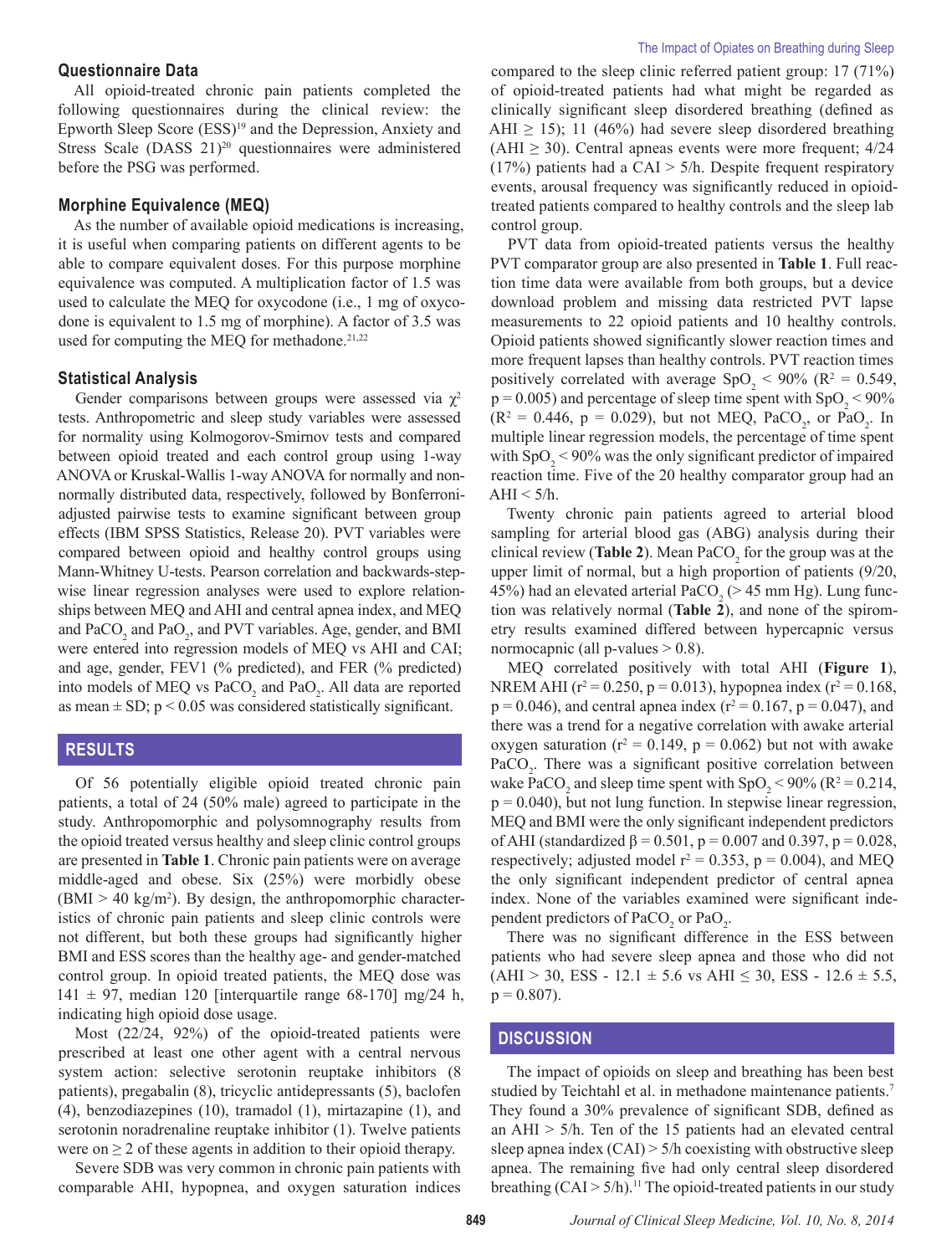#### **Questionnaire Data**

All opioid-treated chronic pain patients completed the following questionnaires during the clinical review: the Epworth Sleep Score (ESS)<sup>19</sup> and the Depression, Anxiety and Stress Scale (DASS 21)<sup>20</sup> questionnaires were administered before the PSG was performed.

#### **Morphine Equivalence (MEQ)**

As the number of available opioid medications is increasing, it is useful when comparing patients on different agents to be able to compare equivalent doses. For this purpose morphine equivalence was computed. A multiplication factor of 1.5 was used to calculate the MEQ for oxycodone (i.e., 1 mg of oxycodone is equivalent to 1.5 mg of morphine). A factor of 3.5 was used for computing the MEQ for methadone.<sup>21,22</sup>

#### **Statistical Analysis**

Gender comparisons between groups were assessed via  $\chi^2$ tests. Anthropometric and sleep study variables were assessed for normality using Kolmogorov-Smirnov tests and compared between opioid treated and each control group using 1-way ANOVA or Kruskal-Wallis 1-way ANOVA for normally and nonnormally distributed data, respectively, followed by Bonferroniadjusted pairwise tests to examine significant between group effects (IBM SPSS Statistics, Release 20). PVT variables were compared between opioid and healthy control groups using Mann-Whitney U-tests. Pearson correlation and backwards-stepwise linear regression analyses were used to explore relationships between MEQ and AHI and central apnea index, and MEQ and  $PaCO<sub>2</sub>$  and  $PaO<sub>2</sub>$ , and PVT variables. Age, gender, and BMI were entered into regression models of MEQ vs AHI and CAI; and age, gender, FEV1 (% predicted), and FER (% predicted) into models of MEQ vs  $PaCO_2$  and  $PaO_2$ . All data are reported as mean  $\pm$  SD; p < 0.05 was considered statistically significant.

## **RESULTS**

Of 56 potentially eligible opioid treated chronic pain patients, a total of 24 (50% male) agreed to participate in the study. Anthropomorphic and polysomnography results from the opioid treated versus healthy and sleep clinic control groups are presented in **Table 1**. Chronic pain patients were on average middle-aged and obese. Six (25%) were morbidly obese  $(BMI > 40 \text{ kg/m}^2)$ . By design, the anthropomorphic characteristics of chronic pain patients and sleep clinic controls were not different, but both these groups had significantly higher BMI and ESS scores than the healthy age- and gender-matched control group. In opioid treated patients, the MEQ dose was  $141 \pm 97$ , median 120 [interquartile range 68-170] mg/24 h, indicating high opioid dose usage.

Most (22/24, 92%) of the opioid-treated patients were prescribed at least one other agent with a central nervous system action: selective serotonin reuptake inhibitors (8 patients), pregabalin (8), tricyclic antidepressants (5), baclofen (4), benzodiazepines (10), tramadol (1), mirtazapine (1), and serotonin noradrenaline reuptake inhibitor (1). Twelve patients were on  $\geq 2$  of these agents in addition to their opioid therapy.

Severe SDB was very common in chronic pain patients with comparable AHI, hypopnea, and oxygen saturation indices

compared to the sleep clinic referred patient group: 17 (71%) of opioid-treated patients had what might be regarded as clinically significant sleep disordered breathing (defined as AHI  $\geq$  15); 11 (46%) had severe sleep disordered breathing (AHI  $\geq$  30). Central apneas events were more frequent; 4/24 (17%) patients had a CAI  $> 5/h$ . Despite frequent respiratory events, arousal frequency was significantly reduced in opioidtreated patients compared to healthy controls and the sleep lab control group.

PVT data from opioid-treated patients versus the healthy PVT comparator group are also presented in **Table 1**. Full reaction time data were available from both groups, but a device download problem and missing data restricted PVT lapse measurements to 22 opioid patients and 10 healthy controls. Opioid patients showed significantly slower reaction times and more frequent lapses than healthy controls. PVT reaction times positively correlated with average  $SpO<sub>2</sub> < 90\%$  (R<sup>2</sup> = 0.549,  $p = 0.005$ ) and percentage of sleep time spent with  $SpO<sub>2</sub> < 90\%$  $(R^2 = 0.446, p = 0.029)$ , but not MEQ, PaCO<sub>2</sub>, or PaO<sub>2</sub>. In multiple linear regression models, the percentage of time spent with  $SpO_2$  < 90% was the only significant predictor of impaired reaction time. Five of the 20 healthy comparator group had an  $AHI < 5/h$ .

Twenty chronic pain patients agreed to arterial blood sampling for arterial blood gas (ABG) analysis during their clinical review (**Table 2**). Mean  $PaCO<sub>2</sub>$  for the group was at the upper limit of normal, but a high proportion of patients (9/20, 45%) had an elevated arterial  $PaCO<sub>2</sub>$  (> 45 mm Hg). Lung function was relatively normal (**Table 2**), and none of the spirometry results examined differed between hypercapnic versus normocapnic (all p-values  $> 0.8$ ).

MEQ correlated positively with total AHI (**Figure 1**), NREM AHI ( $r^2 = 0.250$ ,  $p = 0.013$ ), hypopnea index ( $r^2 = 0.168$ ,  $p = 0.046$ ), and central apnea index ( $r^2 = 0.167$ ,  $p = 0.047$ ), and there was a trend for a negative correlation with awake arterial oxygen saturation ( $r^2 = 0.149$ ,  $p = 0.062$ ) but not with awake  $PaCO<sub>2</sub>$ . There was a significant positive correlation between wake PaCO<sub>2</sub> and sleep time spent with  $SpO_2 < 90\%$  ( $R^2 = 0.214$ ,  $p = 0.040$ , but not lung function. In stepwise linear regression, MEQ and BMI were the only significant independent predictors of AHI (standardized β = 0.501, p = 0.007 and 0.397, p = 0.028, respectively; adjusted model  $r^2 = 0.353$ ,  $p = 0.004$ ), and MEQ the only significant independent predictor of central apnea index. None of the variables examined were significant independent predictors of  $PaCO_2$  or  $PaO_2$ .

There was no significant difference in the ESS between patients who had severe sleep apnea and those who did not  $(AHI > 30, ESS - 12.1 \pm 5.6 \text{ vs } AHI \leq 30, ESS - 12.6 \pm 5.5,$  $p = 0.807$ ).

## **DISCUSSION**

The impact of opioids on sleep and breathing has been best studied by Teichtahl et al. in methadone maintenance patients.<sup>7</sup> They found a 30% prevalence of significant SDB, defined as an  $AHI > 5/h$ . Ten of the 15 patients had an elevated central sleep apnea index (CAI) > 5/h coexisting with obstructive sleep apnea. The remaining five had only central sleep disordered breathing  $(CAI > 5/h)$ .<sup>11</sup> The opioid-treated patients in our study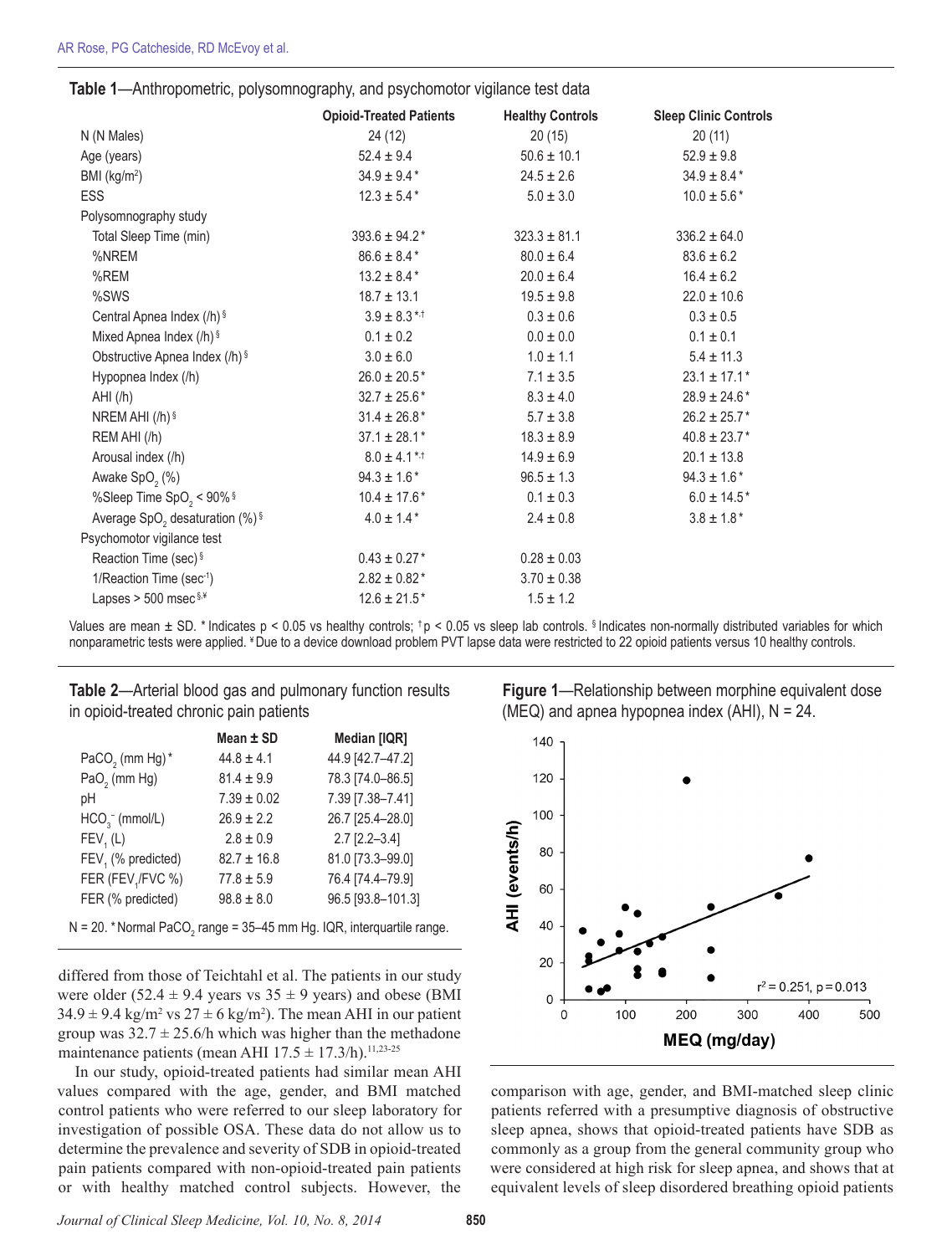|  | Table 1—Anthropometric, polysomnography, and psychomotor vigilance test data |  |  |  |  |  |
|--|------------------------------------------------------------------------------|--|--|--|--|--|
|--|------------------------------------------------------------------------------|--|--|--|--|--|

|                                                        | <b>Opioid-Treated Patients</b> | <b>Healthy Controls</b> | <b>Sleep Clinic Controls</b> |
|--------------------------------------------------------|--------------------------------|-------------------------|------------------------------|
| N (N Males)                                            | 24 (12)                        | 20(15)                  | 20(11)                       |
| Age (years)                                            | $52.4 \pm 9.4$                 | $50.6 \pm 10.1$         | $52.9 \pm 9.8$               |
| BMI ( $kg/m2$ )                                        | $34.9 \pm 9.4*$                | $24.5 \pm 2.6$          | $34.9 \pm 8.4*$              |
| <b>ESS</b>                                             | $12.3 \pm 5.4^*$               | $5.0 \pm 3.0$           | $10.0 \pm 5.6*$              |
| Polysomnography study                                  |                                |                         |                              |
| Total Sleep Time (min)                                 | $393.6 \pm 94.2$ *             | $323.3 \pm 81.1$        | $336.2 \pm 64.0$             |
| %NREM                                                  | $86.6 \pm 8.4*$                | $80.0 \pm 6.4$          | $83.6 \pm 6.2$               |
| %REM                                                   | $13.2 \pm 8.4*$                | $20.0 \pm 6.4$          | $16.4 \pm 6.2$               |
| %SWS                                                   | $18.7 \pm 13.1$                | $19.5 \pm 9.8$          | $22.0 \pm 10.6$              |
| Central Apnea Index (/h) §                             | $3.9 \pm 8.3$ * $\frac{1}{1}$  | $0.3 \pm 0.6$           | $0.3 \pm 0.5$                |
| Mixed Apnea Index (/h) §                               | $0.1 \pm 0.2$                  | $0.0 \pm 0.0$           | $0.1 \pm 0.1$                |
| Obstructive Apnea Index (/h) §                         | $3.0 \pm 6.0$                  | $1.0 \pm 1.1$           | $5.4 \pm 11.3$               |
| Hypopnea Index (/h)                                    | $26.0 \pm 20.5*$               | $7.1 \pm 3.5$           | $23.1 \pm 17.1*$             |
| AHI(fh)                                                | $32.7 \pm 25.6*$               | $8.3 \pm 4.0$           | $28.9 \pm 24.6*$             |
| NREM AHI $(h)$ <sup>§</sup>                            | $31.4 \pm 26.8*$               | $5.7 \pm 3.8$           | $26.2 \pm 25.7$ *            |
| REM AHI (/h)                                           | $37.1 \pm 28.1*$               | $18.3 \pm 8.9$          | $40.8 \pm 23.7*$             |
| Arousal index (/h)                                     | $8.0 \pm 4.1$ *.1              | $14.9 \pm 6.9$          | $20.1 \pm 13.8$              |
| Awake SpO <sub>2</sub> (%)                             | $94.3 \pm 1.6*$                | $96.5 \pm 1.3$          | $94.3 \pm 1.6*$              |
| %Sleep Time SpO <sub>2</sub> < 90% §                   | $10.4 \pm 17.6*$               | $0.1 \pm 0.3$           | $6.0 \pm 14.5*$              |
| Average SpO <sub>2</sub> desaturation (%) <sup>§</sup> | $4.0 \pm 1.4*$                 | $2.4 \pm 0.8$           | $3.8\pm1.8^*$                |
| Psychomotor vigilance test                             |                                |                         |                              |
| Reaction Time (sec) §                                  | $0.43 \pm 0.27$ *              | $0.28\pm0.03$           |                              |
| 1/Reaction Time (sec-1)                                | $2.82 \pm 0.82$ *              | $3.70 \pm 0.38$         |                              |
| Lapses $> 500$ msec $\S$ <sup>*</sup>                  | $12.6 \pm 21.5*$               | $1.5 \pm 1.2$           |                              |

Values are mean  $\pm$  SD. \* Indicates p < 0.05 vs healthy controls;  $\dagger$  p < 0.05 vs sleep lab controls. <sup>§</sup> Indicates non-normally distributed variables for which nonparametric tests were applied. ¥Due to a device download problem PVT lapse data were restricted to 22 opioid patients versus 10 healthy controls.

**Table 2**—Arterial blood gas and pulmonary function results in opioid-treated chronic pain patients

|                            | Mean ± SD       | <b>Median [IQR]</b>                                                                |
|----------------------------|-----------------|------------------------------------------------------------------------------------|
| PaCO <sub>2</sub> (mm Hg)* | $44.8 \pm 4.1$  | 44.9 [42.7-47.2]                                                                   |
| PaO <sub>2</sub> (mm Hg)   | $81.4 \pm 9.9$  | 78.3 [74.0-86.5]                                                                   |
| pН                         | $7.39 \pm 0.02$ | 7.39 [7.38-7.41]                                                                   |
| $HCO3$ (mmol/L)            | $26.9 \pm 2.2$  | 26.7 [25.4-28.0]                                                                   |
| FEV <sub>1</sub> (L)       | $2.8 \pm 0.9$   | $2.7$ [ $2.2 - 3.4$ ]                                                              |
| FEV, (% predicted)         | $82.7 \pm 16.8$ | 81.0 [73.3-99.0]                                                                   |
| FER (FEV,/FVC %)           | $77.8 \pm 5.9$  | 76.4 [74.4-79.9]                                                                   |
| FER (% predicted)          | $98.8 \pm 8.0$  | 96.5 [93.8-101.3]                                                                  |
|                            |                 | $N = 20$ . * Normal PaCO <sub>2</sub> range = 35-45 mm Hg. IQR, interquartile rang |

differed from those of Teichtahl et al. The patients in our study were older (52.4  $\pm$  9.4 years vs 35  $\pm$  9 years) and obese (BMI  $34.9 \pm 9.4$  kg/m<sup>2</sup> vs  $27 \pm 6$  kg/m<sup>2</sup>). The mean AHI in our patient group was  $32.7 \pm 25.6$ /h which was higher than the methadone maintenance patients (mean AHI  $17.5 \pm 17.3/h$ ).<sup>11,23-25</sup>

In our study, opioid-treated patients had similar mean AHI values compared with the age, gender, and BMI matched control patients who were referred to our sleep laboratory for investigation of possible OSA. These data do not allow us to determine the prevalence and severity of SDB in opioid-treated pain patients compared with non-opioid-treated pain patients or with healthy matched control subjects. However, the





comparison with age, gender, and BMI-matched sleep clinic patients referred with a presumptive diagnosis of obstructive sleep apnea, shows that opioid-treated patients have SDB as commonly as a group from the general community group who were considered at high risk for sleep apnea, and shows that at equivalent levels of sleep disordered breathing opioid patients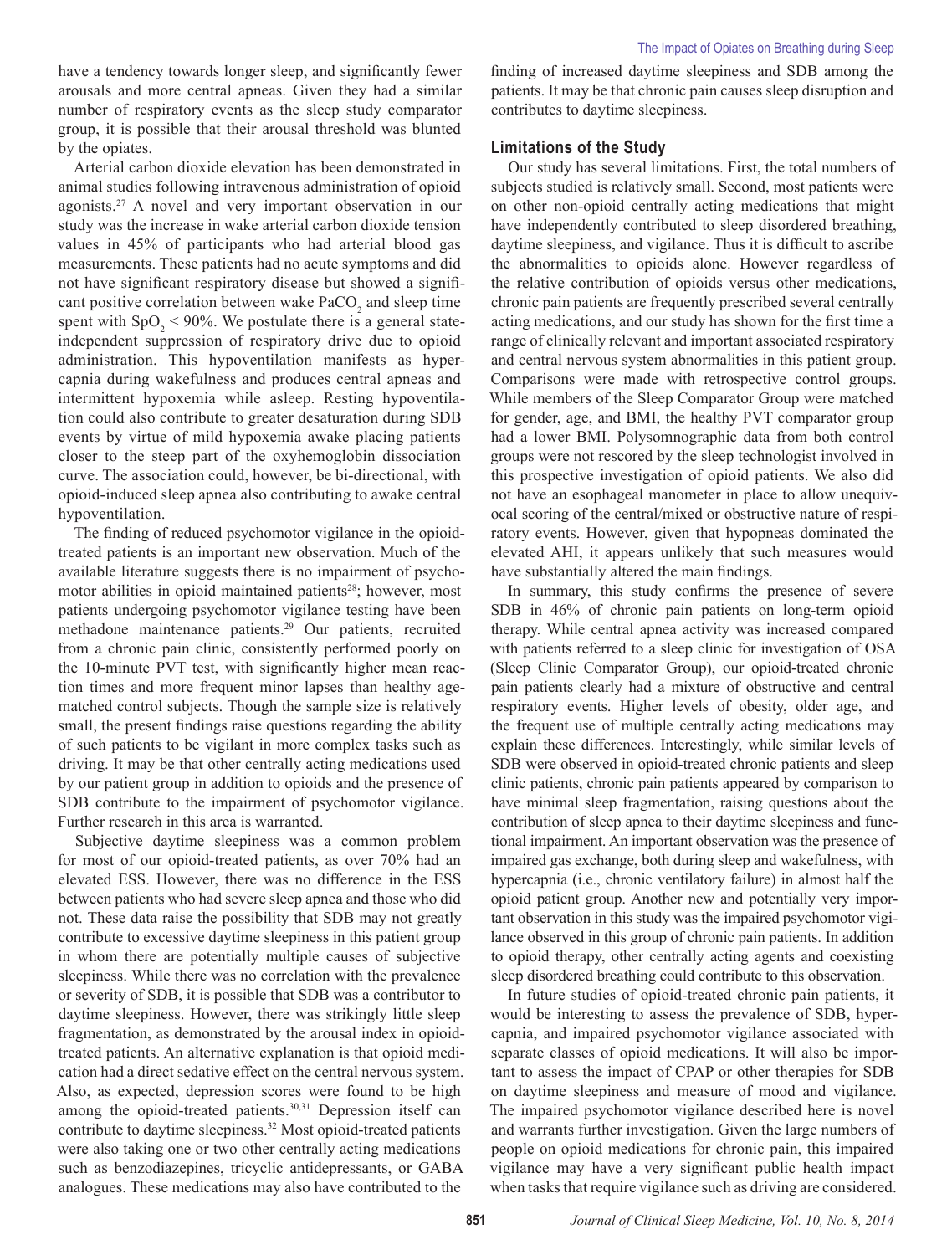have a tendency towards longer sleep, and significantly fewer arousals and more central apneas. Given they had a similar number of respiratory events as the sleep study comparator group, it is possible that their arousal threshold was blunted by the opiates.

Arterial carbon dioxide elevation has been demonstrated in animal studies following intravenous administration of opioid agonists.27 A novel and very important observation in our study was the increase in wake arterial carbon dioxide tension values in 45% of participants who had arterial blood gas measurements. These patients had no acute symptoms and did not have significant respiratory disease but showed a significant positive correlation between wake  $PaCO<sub>2</sub>$  and sleep time spent with  $SpO_2$  < 90%. We postulate there is a general stateindependent suppression of respiratory drive due to opioid administration. This hypoventilation manifests as hypercapnia during wakefulness and produces central apneas and intermittent hypoxemia while asleep. Resting hypoventilation could also contribute to greater desaturation during SDB events by virtue of mild hypoxemia awake placing patients closer to the steep part of the oxyhemoglobin dissociation curve. The association could, however, be bi-directional, with opioid-induced sleep apnea also contributing to awake central hypoventilation.

The finding of reduced psychomotor vigilance in the opioidtreated patients is an important new observation. Much of the available literature suggests there is no impairment of psychomotor abilities in opioid maintained patients<sup>28</sup>; however, most patients undergoing psychomotor vigilance testing have been methadone maintenance patients.<sup>29</sup> Our patients, recruited from a chronic pain clinic, consistently performed poorly on the 10-minute PVT test, with significantly higher mean reaction times and more frequent minor lapses than healthy agematched control subjects. Though the sample size is relatively small, the present findings raise questions regarding the ability of such patients to be vigilant in more complex tasks such as driving. It may be that other centrally acting medications used by our patient group in addition to opioids and the presence of SDB contribute to the impairment of psychomotor vigilance. Further research in this area is warranted.

Subjective daytime sleepiness was a common problem for most of our opioid-treated patients, as over 70% had an elevated ESS. However, there was no difference in the ESS between patients who had severe sleep apnea and those who did not. These data raise the possibility that SDB may not greatly contribute to excessive daytime sleepiness in this patient group in whom there are potentially multiple causes of subjective sleepiness. While there was no correlation with the prevalence or severity of SDB, it is possible that SDB was a contributor to daytime sleepiness. However, there was strikingly little sleep fragmentation, as demonstrated by the arousal index in opioidtreated patients. An alternative explanation is that opioid medication had a direct sedative effect on the central nervous system. Also, as expected, depression scores were found to be high among the opioid-treated patients.<sup>30,31</sup> Depression itself can contribute to daytime sleepiness.<sup>32</sup> Most opioid-treated patients were also taking one or two other centrally acting medications such as benzodiazepines, tricyclic antidepressants, or GABA analogues. These medications may also have contributed to the

finding of increased daytime sleepiness and SDB among the patients. It may be that chronic pain causes sleep disruption and contributes to daytime sleepiness.

#### **Limitations of the Study**

Our study has several limitations. First, the total numbers of subjects studied is relatively small. Second, most patients were on other non-opioid centrally acting medications that might have independently contributed to sleep disordered breathing, daytime sleepiness, and vigilance. Thus it is difficult to ascribe the abnormalities to opioids alone. However regardless of the relative contribution of opioids versus other medications, chronic pain patients are frequently prescribed several centrally acting medications, and our study has shown for the first time a range of clinically relevant and important associated respiratory and central nervous system abnormalities in this patient group. Comparisons were made with retrospective control groups. While members of the Sleep Comparator Group were matched for gender, age, and BMI, the healthy PVT comparator group had a lower BMI. Polysomnographic data from both control groups were not rescored by the sleep technologist involved in this prospective investigation of opioid patients. We also did not have an esophageal manometer in place to allow unequivocal scoring of the central/mixed or obstructive nature of respiratory events. However, given that hypopneas dominated the elevated AHI, it appears unlikely that such measures would have substantially altered the main findings.

In summary, this study confirms the presence of severe SDB in 46% of chronic pain patients on long-term opioid therapy. While central apnea activity was increased compared with patients referred to a sleep clinic for investigation of OSA (Sleep Clinic Comparator Group), our opioid-treated chronic pain patients clearly had a mixture of obstructive and central respiratory events. Higher levels of obesity, older age, and the frequent use of multiple centrally acting medications may explain these differences. Interestingly, while similar levels of SDB were observed in opioid-treated chronic patients and sleep clinic patients, chronic pain patients appeared by comparison to have minimal sleep fragmentation, raising questions about the contribution of sleep apnea to their daytime sleepiness and functional impairment. An important observation was the presence of impaired gas exchange, both during sleep and wakefulness, with hypercapnia (i.e., chronic ventilatory failure) in almost half the opioid patient group. Another new and potentially very important observation in this study was the impaired psychomotor vigilance observed in this group of chronic pain patients. In addition to opioid therapy, other centrally acting agents and coexisting sleep disordered breathing could contribute to this observation.

In future studies of opioid-treated chronic pain patients, it would be interesting to assess the prevalence of SDB, hypercapnia, and impaired psychomotor vigilance associated with separate classes of opioid medications. It will also be important to assess the impact of CPAP or other therapies for SDB on daytime sleepiness and measure of mood and vigilance. The impaired psychomotor vigilance described here is novel and warrants further investigation. Given the large numbers of people on opioid medications for chronic pain, this impaired vigilance may have a very significant public health impact when tasks that require vigilance such as driving are considered.